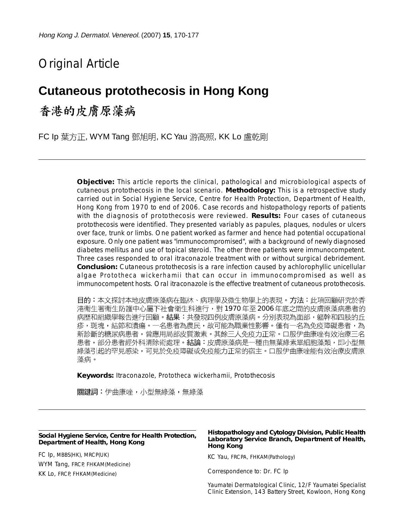# Original Article

## **Cutaneous protothecosis in Hong Kong**

香港的皮膚原藻病

FC Ip 葉方正, WYM Tang 鄧旭明, KC Yau 游高照, KK Lo 盧乾剛

**Objective:** This article reports the clinical, pathological and microbiological aspects of cutaneous protothecosis in the local scenario. **Methodology:** This is a retrospective study carried out in Social Hygiene Service, Centre for Health Protection, Department of Health, Hong Kong from 1970 to end of 2006. Case records and histopathology reports of patients with the diagnosis of protothecosis were reviewed. **Results:** Four cases of cutaneous protothecosis were identified. They presented variably as papules, plaques, nodules or ulcers over face, trunk or limbs. One patient worked as farmer and hence had potential occupational exposure. Only one patient was "immunocompromised", with a background of newly diagnosed diabetes mellitus and use of topical steroid. The other three patients were immunocompetent. Three cases responded to oral itraconazole treatment with or without surgical debridement. **Conclusion:** Cutaneous protothecosis is a rare infection caused by achlorophyllic unicellular algae *Prototheca wickerhamii* that can occur in immunocompromised as well as immunocompetent hosts. Oral itraconazole is the effective treatment of cutaneous protothecosis.

目的:本文探討本地皮膚原藻病在臨牀、病理學及微生物學上的表現。方法:此項回顧研究於香 港衞生署衞生防護中心屬下社會衛生科進行,對 1970 年至 2006 年底之間的皮膚原藻病患者的 病歷和組織學報告進行回顧。結果:共發現四例皮膚原藻病。分別表現為面部,軀幹和四肢的丘 疹,斑塊,結節和潰瘍。一名患者為農民,故可能為職業性影響。僅有一名為免疫障礙患者,為 新診斷的糖尿病患者,曾應用局部皮質激素。其餘三人免疫力正常。口服伊曲康唑有效治療三名 患者,部分患者經外科清除術處理。結論:皮膚原藻病是一種由無葉綠素單細胞藻類,即小型無 綠藻引起的罕見感染,可見於免疫障礙或免疫能力正常的宿主。口服伊曲康唑能有效治療皮膚原 藻病。

**Keywords:** Itraconazole*, Prototheca wickerhamii,* Protothecosis

關鍵詞:伊曲康唑,小型無綠藻,無綠藻

#### **Social Hygiene Service, Centre for Health Protection, Department of Health, Hong Kong**

FC Ip, MBBS(HK), MRCP(UK) WYM Tang, FRCP, FHKAM(Medicine) KK Lo, FRCP, FHKAM(Medicine)

#### **Histopathology and Cytology Division, Public Health Laboratory Service Branch, Department of Health, Hong Kong**

KC Yau, FRCPA, FHKAM(Pathology)

Correspondence to: Dr. FC Ip

Yaumatei Dermatological Clinic, 12/F Yaumatei Specialist Clinic Extension, 143 Battery Street, Kowloon, Hong Kong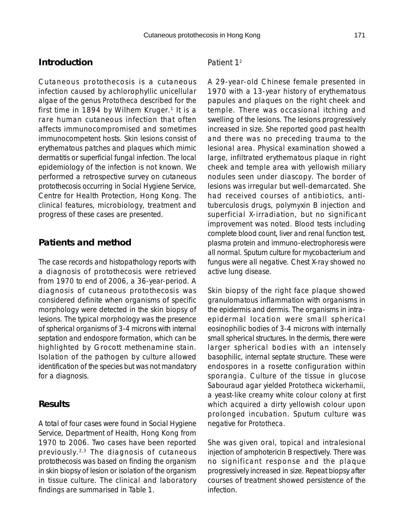#### **Introduction**

Cutaneous protothecosis is a cutaneous infection caused by achlorophyllic unicellular algae of the genus *Prototheca* described for the first time in 1894 by Wilhem Kruger.<sup>1</sup> It is a rare human cutaneous infection that often affects immunocompromised and sometimes immunocompetent hosts. Skin lesions consist of erythematous patches and plaques which mimic dermatitis or superficial fungal infection. The local epidemiology of the infection is not known. We performed a retrospective survey on cutaneous protothecosis occurring in Social Hygiene Service, Centre for Health Protection, Hong Kong. The clinical features, microbiology, treatment and progress of these cases are presented.

## **Patients and method**

The case records and histopathology reports with a diagnosis of protothecosis were retrieved from 1970 to end of 2006, a 36-year-period. A diagnosis of cutaneous protothecosis was considered definite when organisms of specific morphology were detected in the skin biopsy of lesions. The typical morphology was the presence of spherical organisms of 3-4 microns with internal septation and endospore formation, which can be highlighted by Grocott methenamine stain. Isolation of the pathogen by culture allowed identification of the species but was not mandatory for a diagnosis.

#### **Results**

A total of four cases were found in Social Hygiene Service, Department of Health, Hong Kong from 1970 to 2006. Two cases have been reported previously.2,3 The diagnosis of cutaneous protothecosis was based on finding the organism in skin biopsy of lesion or isolation of the organism in tissue culture. The clinical and laboratory findings are summarised in Table 1.

#### *Patient 1*<sup>2</sup>

A 29-year-old Chinese female presented in 1970 with a 13-year history of erythematous papules and plaques on the right cheek and temple. There was occasional itching and swelling of the lesions. The lesions progressively increased in size. She reported good past health and there was no preceding trauma to the lesional area. Physical examination showed a large, infiltrated erythematous plaque in right cheek and temple area with yellowish miliary nodules seen under diascopy. The border of lesions was irregular but well-demarcated. She had received courses of antibiotics, antituberculosis drugs, polymyxin B injection and superficial X-irradiation, but no significant improvement was noted. Blood tests including complete blood count, liver and renal function test, plasma protein and immuno-electrophoresis were all normal. Sputum culture for mycobacterium and fungus were all negative. Chest X-ray showed no active lung disease.

Skin biopsy of the right face plaque showed granulomatous inflammation with organisms in the epidermis and dermis. The organisms in intraepidermal location were small spherical eosinophilic bodies of 3-4 microns with internally small spherical structures. In the dermis, there were larger spherical bodies with an intensely basophilic, internal septate structure. These were endospores in a rosette configuration within sporangia. Culture of the tissue in glucose Sabouraud agar yielded *Prototheca wickerhamii*, a yeast-like creamy white colour colony at first which acquired a dirty yellowish colour upon prolonged incubation. Sputum culture was negative for *Prototheca.*

She was given oral, topical and intralesional injection of amphotericin B respectively. There was no significant response and the plaque progressively increased in size. Repeat biopsy after courses of treatment showed persistence of the infection.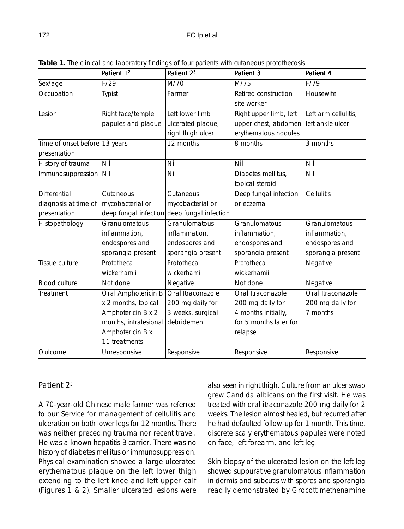|                               | Patient 1 <sup>2</sup> | Patient 2 <sup>3</sup> | Patient 3              | Patient 4            |
|-------------------------------|------------------------|------------------------|------------------------|----------------------|
| Sex/age                       | F/29                   | M/70                   | M/75                   | F/79                 |
| Occupation                    | Typist                 | Farmer                 | Retired construction   | Housewife            |
|                               |                        |                        | site worker            |                      |
| Lesion                        | Right face/temple      | Left lower limb        | Right upper limb, left | Left arm cellulitis, |
|                               | papules and plaque     | ulcerated plaque,      | upper chest, abdomen   | left ankle ulcer     |
|                               |                        | right thigh ulcer      | erythematous nodules   |                      |
| Time of onset before 13 years |                        | 12 months              | 8 months               | 3 months             |
| presentation                  |                        |                        |                        |                      |
| History of trauma             | Nil                    | Nil                    | Nil                    | Nil                  |
| Immunosuppression             | Nil                    | Nil                    | Diabetes mellitus,     | Nil                  |
|                               |                        |                        | topical steroid        |                      |
| Differential                  | Cutaneous              | Cutaneous              | Deep fungal infection  | Cellulitis           |
| diagnosis at time of          | mycobacterial or       | mycobacterial or       | or eczema              |                      |
| presentation                  | deep fungal infection  | deep fungal infection  |                        |                      |
| Histopathology                | Granulomatous          | Granulomatous          | Granulomatous          | Granulomatous        |
|                               | inflammation,          | inflammation,          | inflammation,          | inflammation,        |
|                               | endospores and         | endospores and         | endospores and         | endospores and       |
|                               | sporangia present      | sporangia present      | sporangia present      | sporangia present    |
| Tissue culture                | Prototheca             | Prototheca             | Prototheca             | Negative             |
|                               | wickerhamii            | wickerhamii            | wickerhamii            |                      |
| <b>Blood culture</b>          | Not done               | Negative               | Not done               | Negative             |
| Treatment                     | Oral Amphotericin B    | Oral Itraconazole      | Oral Itraconazole      | Oral Itraconazole    |
|                               | x 2 months, topical    | 200 mg daily for       | 200 mg daily for       | 200 mg daily for     |
|                               | Amphotericin B x 2     | 3 weeks, surgical      | 4 months initially,    | 7 months             |
|                               | months, intralesional  | debridement            | for 5 months later for |                      |
|                               | Amphotericin B x       |                        | relapse                |                      |
|                               | 11 treatments          |                        |                        |                      |
| Outcome                       | Unresponsive           | Responsive             | Responsive             | Responsive           |

**Table 1.** The clinical and laboratory findings of four patients with cutaneous protothecosis

## *Patient 2*<sup>3</sup>

A 70-year-old Chinese male farmer was referred to our Service for management of cellulitis and ulceration on both lower legs for 12 months. There was neither preceding trauma nor recent travel. He was a known hepatitis B carrier. There was no history of diabetes mellitus or immunosuppression. Physical examination showed a large ulcerated erythematous plaque on the left lower thigh extending to the left knee and left upper calf (Figures 1 & 2). Smaller ulcerated lesions were

also seen in right thigh. Culture from an ulcer swab grew *Candida albicans* on the first visit. He was treated with oral itraconazole 200 mg daily for 2 weeks. The lesion almost healed, but recurred after he had defaulted follow-up for 1 month. This time, discrete scaly erythematous papules were noted on face, left forearm, and left leg.

Skin biopsy of the ulcerated lesion on the left leg showed suppurative granulomatous inflammation in dermis and subcutis with spores and sporangia readily demonstrated by Grocott methenamine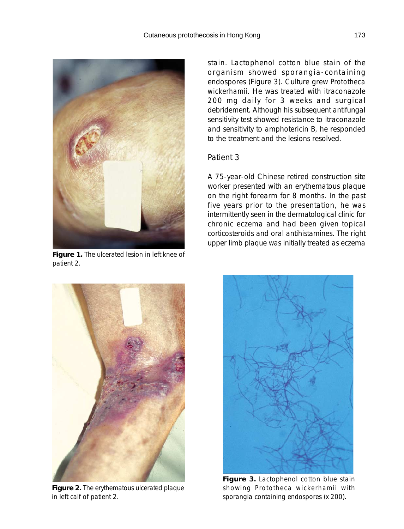

**Figure 1.** The ulcerated lesion in left knee of patient 2.

stain. Lactophenol cotton blue stain of the organism showed sporangia-containing endospores (Figure 3). Culture grew *Prototheca wickerhamii*. He was treated with itraconazole 200 mg daily for 3 weeks and surgical debridement. Although his subsequent antifungal sensitivity test showed resistance to itraconazole and sensitivity to amphotericin B, he responded to the treatment and the lesions resolved.

#### *Patient 3*

A 75-year-old Chinese retired construction site worker presented with an erythematous plaque on the right forearm for 8 months. In the past five years prior to the presentation, he was intermittently seen in the dermatological clinic for chronic eczema and had been given topical corticosteroids and oral antihistamines. The right upper limb plaque was initially treated as eczema



**Figure 2.** The erythematous ulcerated plaque in left calf of patient 2.



**Figure 3.** Lactophenol cotton blue stain showing *Prototheca wickerhamii* with sporangia containing endospores (x 200).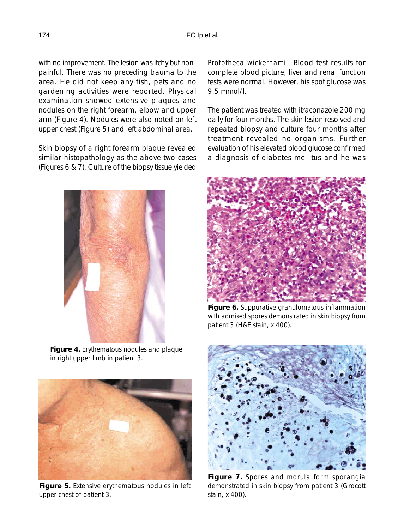with no improvement. The lesion was itchy but nonpainful. There was no preceding trauma to the area. He did not keep any fish, pets and no gardening activities were reported. Physical examination showed extensive plaques and nodules on the right forearm, elbow and upper arm (Figure 4). Nodules were also noted on left upper chest (Figure 5) and left abdominal area.

Skin biopsy of a right forearm plaque revealed similar histopathology as the above two cases (Figures 6 & 7). Culture of the biopsy tissue yielded



**Figure 4.** Erythematous nodules and plaque in right upper limb in patient 3.



**Figure 5.** Extensive erythematous nodules in left upper chest of patient 3.

*Prototheca wickerhamii*. Blood test results for complete blood picture, liver and renal function tests were normal. However, his spot glucose was 9.5 mmol/l.

The patient was treated with itraconazole 200 mg daily for four months. The skin lesion resolved and repeated biopsy and culture four months after treatment revealed no organisms. Further evaluation of his elevated blood glucose confirmed a diagnosis of diabetes mellitus and he was



**Figure 6.** Suppurative granulomatous inflammation with admixed spores demonstrated in skin biopsy from patient 3 (H&E stain, x 400).



**Figure 7.** Spores and morula form sporangia demonstrated in skin biopsy from patient 3 (Grocott stain, x 400).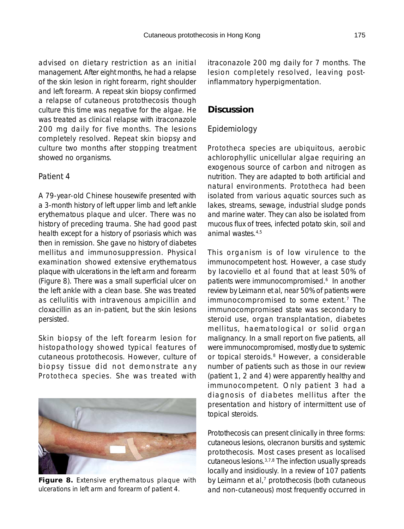advised on dietary restriction as an initial management. After eight months, he had a relapse of the skin lesion in right forearm, right shoulder and left forearm. A repeat skin biopsy confirmed a relapse of cutaneous protothecosis though culture this time was negative for the algae. He was treated as clinical relapse with itraconazole 200 mg daily for five months. The lesions completely resolved. Repeat skin biopsy and culture two months after stopping treatment showed no organisms.

#### *Patient 4*

A 79-year-old Chinese housewife presented with a 3-month history of left upper limb and left ankle erythematous plaque and ulcer. There was no history of preceding trauma. She had good past health except for a history of psoriasis which was then in remission. She gave no history of diabetes mellitus and immunosuppression. Physical examination showed extensive erythematous plaque with ulcerations in the left arm and forearm (Figure 8). There was a small superficial ulcer on the left ankle with a clean base. She was treated as cellulitis with intravenous ampicillin and cloxacillin as an in-patient, but the skin lesions persisted.

Skin biopsy of the left forearm lesion for histopathology showed typical features of cutaneous protothecosis. However, culture of biopsy tissue did not demonstrate any *Prototheca* species. She was treated with



**Figure 8.** Extensive erythematous plaque with ulcerations in left arm and forearm of patient 4.

itraconazole 200 mg daily for 7 months. The lesion completely resolved, leaving postinflammatory hyperpigmentation.

#### **Discussion**

#### *Epidemiology*

*Prototheca* species are ubiquitous, aerobic achlorophyllic unicellular algae requiring an exogenous source of carbon and nitrogen as nutrition. They are adapted to both artificial and natural environments. *Prototheca* had been isolated from various aquatic sources such as lakes, streams, sewage, industrial sludge ponds and marine water. They can also be isolated from mucous flux of trees, infected potato skin, soil and animal wastes. $4,5$ 

This organism is of low virulence to the immunocompetent host. However, a case study by Iacoviello et al found that at least 50% of patients were immunocompromised.<sup>6</sup> In another review by Leimann et al, near 50% of patients were immunocompromised to some extent.7 The immunocompromised state was secondary to steroid use, organ transplantation, diabetes mellitus, haematological or solid organ malignancy. In a small report on five patients, all were immunocompromised, mostly due to systemic or topical steroids.<sup>8</sup> However, a considerable number of patients such as those in our review (patient 1, 2 and 4) were apparently healthy and immunocompetent. Only patient 3 had a diagnosis of diabetes mellitus after the presentation and history of intermittent use of topical steroids.

Protothecosis can present clinically in three forms: cutaneous lesions, olecranon bursitis and systemic protothecosis. Most cases present as localised cutaneous lesions.3,7,8 The infection usually spreads locally and insidiously. In a review of 107 patients by Leimann et al, $<sup>7</sup>$  protothecosis (both cutaneous</sup> and non-cutaneous) most frequently occurred in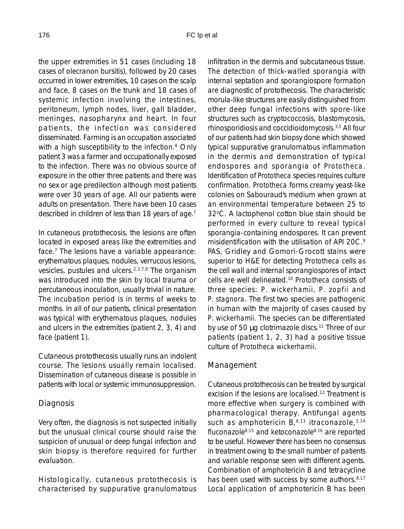the upper extremities in 51 cases (including 18 cases of olecranon bursitis), followed by 20 cases occurred in lower extremities, 10 cases on the scalp and face, 8 cases on the trunk and 18 cases of systemic infection involving the intestines, peritoneum, lymph nodes, liver, gall bladder, meninges, nasopharynx and heart. In four patients, the infection was considered disseminated. Farming is an occupation associated with a high susceptibility to the infection.<sup>8</sup> Only patient 3 was a farmer and occupationally exposed to the infection. There was no obvious source of exposure in the other three patients and there was no sex or age predilection although most patients were over 30 years of age. All our patients were adults on presentation. There have been 10 cases described in children of less than 18 years of age.<sup>7</sup>

In cutaneous protothecosis, the lesions are often located in exposed areas like the extremities and face.<sup>7</sup> The lesions have a variable appearance: erythematous plaques, nodules, verrucous lesions, vesicles, pustules and ulcers.2,3,7,8 The organism was introduced into the skin by local trauma or percutaneous inoculation, usually trivial in nature. The incubation period is in terms of weeks to months. In all of our patients, clinical presentation was typical with erythematous plaques, nodules and ulcers in the extremities (patient 2, 3, 4) and face (patient 1).

Cutaneous protothecosis usually runs an indolent course. The lesions usually remain localised. Dissemination of cutaneous disease is possible in patients with local or systemic immunosuppression.

#### *Diagnosis*

Very often, the diagnosis is not suspected initially but the unusual clinical course should raise the suspicion of unusual or deep fungal infection and skin biopsy is therefore required for further evaluation.

Histologically, cutaneous protothecosis is characterised by suppurative granulomatous infiltration in the dermis and subcutaneous tissue. The detection of thick-walled sporangia with internal septation and sporangiospore formation are diagnostic of protothecosis. The characteristic morula-like structures are easily distinguished from other deep fungal infections with spore-like structures such as cryptococcosis, blastomycosis, rhinosporidiosis and coccidioidomycosis.3,5 All four of our patients had skin biopsy done which showed typical suppurative granulomatous inflammation in the dermis and demonstration of typical endospores and sporangia of *Prototheca*. Identification of *Prototheca* species requires culture confirmation. *Prototheca* forms creamy yeast-like colonies on Sabouraud's medium when grown at an environmental temperature between 25 to 32°C. A lactophenol cotton blue stain should be performed in every culture to reveal typical sporangia-containing endospores. It can prevent misidentification with the utilisation of API 20C.9 PAS, Gridley and Gomori-Grocott stains were superior to H&E for detecting *Prototheca* cells as the cell wall and internal sporangiospores of intact cells are well delineated.10 *Prototheca* consists of three species: *P. wickerhamii, P. zopfii* and *P. stagnora*. The first two species are pathogenic in human with the majority of cases caused by *P. wickerhamii*. The species can be differentiated by use of 50 µg clotrimazole discs.<sup>11</sup> Three of our patients (patient 1, 2, 3) had a positive tissue culture of *Prototheca wickerhamii*.

#### *Management*

Cutaneous protothecosis can be treated by surgical excision if the lesions are localised.<sup>12</sup> Treatment is more effective when surgery is combined with pharmacological therapy. Antifungal agents such as amphotericin  $B_1^{8,13}$  itraconazole,  $3.14$ fluconazole8,15 and ketoconazole8,16 are reported to be useful. However there has been no consensus in treatment owing to the small number of patients and variable response seen with different agents. Combination of amphotericin B and tetracycline has been used with success by some authors.<sup>8,17</sup> Local application of amphotericin B has been